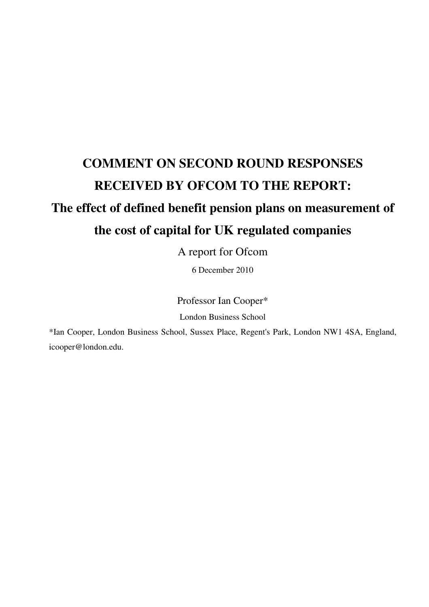# **COMMENT ON SECOND ROUND RESPONSES RECEIVED BY OFCOM TO THE REPORT:**

# **The effect of defined benefit pension plans on measurement of the cost of capital for UK regulated companies**

A report for Ofcom

6 December 2010

Professor Ian Cooper\*

London Business School

\*Ian Cooper, London Business School, Sussex Place, Regent's Park, London NW1 4SA, England, icooper@london.edu.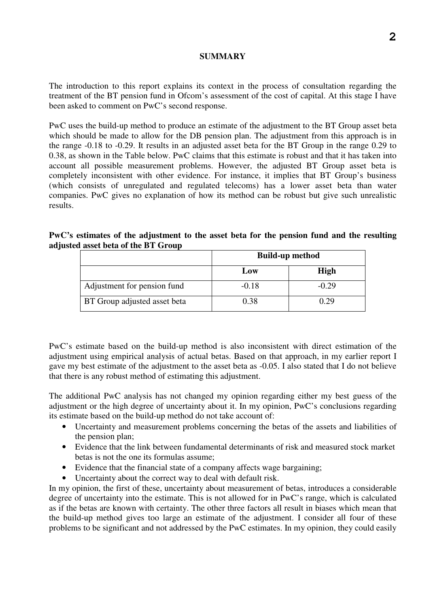# **SUMMARY**

The introduction to this report explains its context in the process of consultation regarding the treatment of the BT pension fund in Ofcom's assessment of the cost of capital. At this stage I have been asked to comment on PwC's second response.

PwC uses the build-up method to produce an estimate of the adjustment to the BT Group asset beta which should be made to allow for the DB pension plan. The adjustment from this approach is in the range -0.18 to -0.29. It results in an adjusted asset beta for the BT Group in the range 0.29 to 0.38, as shown in the Table below. PwC claims that this estimate is robust and that it has taken into account all possible measurement problems. However, the adjusted BT Group asset beta is completely inconsistent with other evidence. For instance, it implies that BT Group's business (which consists of unregulated and regulated telecoms) has a lower asset beta than water companies. PwC gives no explanation of how its method can be robust but give such unrealistic results.

# **PwC's estimates of the adjustment to the asset beta for the pension fund and the resulting adjusted asset beta of the BT Group**

|                              | <b>Build-up method</b> |             |  |  |
|------------------------------|------------------------|-------------|--|--|
|                              | Low                    | <b>High</b> |  |  |
| Adjustment for pension fund  | $-0.18$                | $-0.29$     |  |  |
| BT Group adjusted asset beta | 0.38                   | 0.29        |  |  |

PwC's estimate based on the build-up method is also inconsistent with direct estimation of the adjustment using empirical analysis of actual betas. Based on that approach, in my earlier report I gave my best estimate of the adjustment to the asset beta as -0.05. I also stated that I do not believe that there is any robust method of estimating this adjustment.

The additional PwC analysis has not changed my opinion regarding either my best guess of the adjustment or the high degree of uncertainty about it. In my opinion, PwC's conclusions regarding its estimate based on the build-up method do not take account of:

- Uncertainty and measurement problems concerning the betas of the assets and liabilities of the pension plan;
- Evidence that the link between fundamental determinants of risk and measured stock market betas is not the one its formulas assume;
- Evidence that the financial state of a company affects wage bargaining;
- Uncertainty about the correct way to deal with default risk.

In my opinion, the first of these, uncertainty about measurement of betas, introduces a considerable degree of uncertainty into the estimate. This is not allowed for in PwC's range, which is calculated as if the betas are known with certainty. The other three factors all result in biases which mean that the build-up method gives too large an estimate of the adjustment. I consider all four of these problems to be significant and not addressed by the PwC estimates. In my opinion, they could easily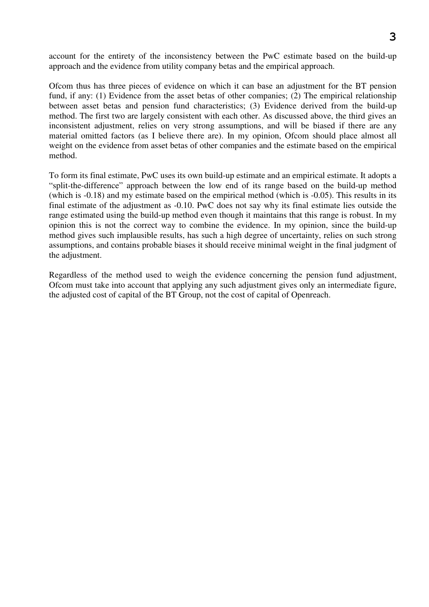**3**

account for the entirety of the inconsistency between the PwC estimate based on the build-up approach and the evidence from utility company betas and the empirical approach.

Ofcom thus has three pieces of evidence on which it can base an adjustment for the BT pension fund, if any: (1) Evidence from the asset betas of other companies; (2) The empirical relationship between asset betas and pension fund characteristics; (3) Evidence derived from the build-up method. The first two are largely consistent with each other. As discussed above, the third gives an inconsistent adjustment, relies on very strong assumptions, and will be biased if there are any material omitted factors (as I believe there are). In my opinion, Ofcom should place almost all weight on the evidence from asset betas of other companies and the estimate based on the empirical method.

To form its final estimate, PwC uses its own build-up estimate and an empirical estimate. It adopts a "split-the-difference" approach between the low end of its range based on the build-up method (which is -0.18) and my estimate based on the empirical method (which is -0.05). This results in its final estimate of the adjustment as -0.10. PwC does not say why its final estimate lies outside the range estimated using the build-up method even though it maintains that this range is robust. In my opinion this is not the correct way to combine the evidence. In my opinion, since the build-up method gives such implausible results, has such a high degree of uncertainty, relies on such strong assumptions, and contains probable biases it should receive minimal weight in the final judgment of the adjustment.

Regardless of the method used to weigh the evidence concerning the pension fund adjustment, Ofcom must take into account that applying any such adjustment gives only an intermediate figure, the adjusted cost of capital of the BT Group, not the cost of capital of Openreach.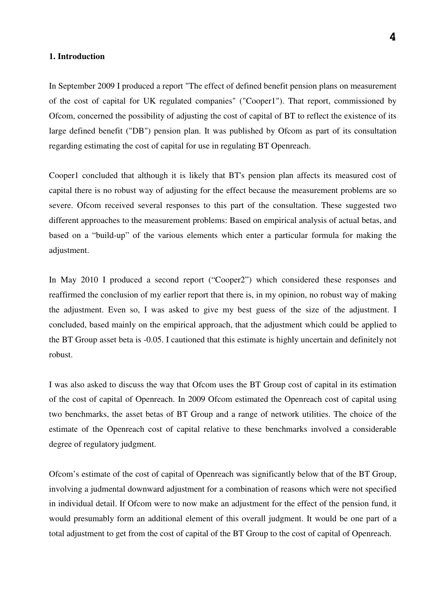#### **1. Introduction**

In September 2009 I produced a report "The effect of defined benefit pension plans on measurement of the cost of capital for UK regulated companies" ("Cooper1"). That report, commissioned by Ofcom, concerned the possibility of adjusting the cost of capital of BT to reflect the existence of its large defined benefit ("DB") pension plan. It was published by Ofcom as part of its consultation regarding estimating the cost of capital for use in regulating BT Openreach.

Cooper1 concluded that although it is likely that BT's pension plan affects its measured cost of capital there is no robust way of adjusting for the effect because the measurement problems are so severe. Ofcom received several responses to this part of the consultation. These suggested two different approaches to the measurement problems: Based on empirical analysis of actual betas, and based on a "build-up" of the various elements which enter a particular formula for making the adjustment.

In May 2010 I produced a second report ("Cooper2") which considered these responses and reaffirmed the conclusion of my earlier report that there is, in my opinion, no robust way of making the adjustment. Even so, I was asked to give my best guess of the size of the adjustment. I concluded, based mainly on the empirical approach, that the adjustment which could be applied to the BT Group asset beta is -0.05. I cautioned that this estimate is highly uncertain and definitely not robust.

I was also asked to discuss the way that Ofcom uses the BT Group cost of capital in its estimation of the cost of capital of Openreach. In 2009 Ofcom estimated the Openreach cost of capital using two benchmarks, the asset betas of BT Group and a range of network utilities. The choice of the estimate of the Openreach cost of capital relative to these benchmarks involved a considerable degree of regulatory judgment.

Ofcom's estimate of the cost of capital of Openreach was significantly below that of the BT Group, involving a judmental downward adjustment for a combination of reasons which were not specified in individual detail. If Ofcom were to now make an adjustment for the effect of the pension fund, it would presumably form an additional element of this overall judgment. It would be one part of a total adjustment to get from the cost of capital of the BT Group to the cost of capital of Openreach.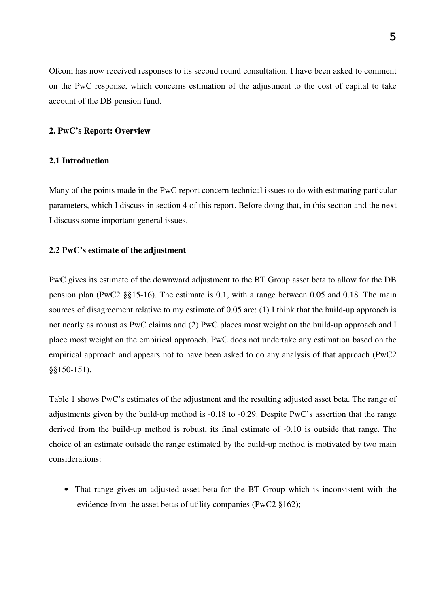Ofcom has now received responses to its second round consultation. I have been asked to comment on the PwC response, which concerns estimation of the adjustment to the cost of capital to take account of the DB pension fund.

#### **2. PwC's Report: Overview**

#### **2.1 Introduction**

Many of the points made in the PwC report concern technical issues to do with estimating particular parameters, which I discuss in section 4 of this report. Before doing that, in this section and the next I discuss some important general issues.

#### **2.2 PwC's estimate of the adjustment**

PwC gives its estimate of the downward adjustment to the BT Group asset beta to allow for the DB pension plan (PwC2 §§15-16). The estimate is 0.1, with a range between 0.05 and 0.18. The main sources of disagreement relative to my estimate of 0.05 are: (1) I think that the build-up approach is not nearly as robust as PwC claims and (2) PwC places most weight on the build-up approach and I place most weight on the empirical approach. PwC does not undertake any estimation based on the empirical approach and appears not to have been asked to do any analysis of that approach (PwC2 §§150-151).

Table 1 shows PwC's estimates of the adjustment and the resulting adjusted asset beta. The range of adjustments given by the build-up method is -0.18 to -0.29. Despite PwC's assertion that the range derived from the build-up method is robust, its final estimate of -0.10 is outside that range. The choice of an estimate outside the range estimated by the build-up method is motivated by two main considerations:

• That range gives an adjusted asset beta for the BT Group which is inconsistent with the evidence from the asset betas of utility companies (PwC2 §162);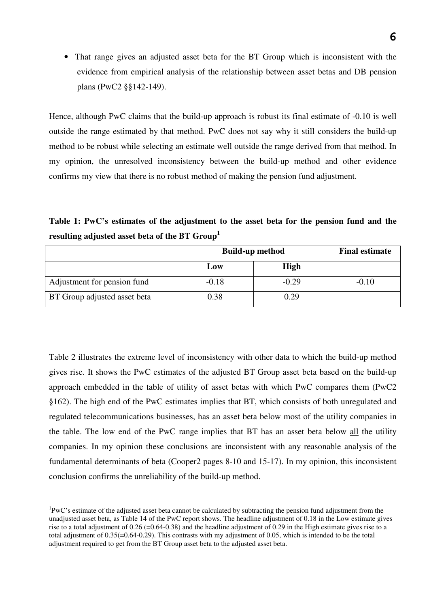• That range gives an adjusted asset beta for the BT Group which is inconsistent with the evidence from empirical analysis of the relationship between asset betas and DB pension plans (PwC2 §§142-149).

Hence, although PwC claims that the build-up approach is robust its final estimate of -0.10 is well outside the range estimated by that method. PwC does not say why it still considers the build-up method to be robust while selecting an estimate well outside the range derived from that method. In my opinion, the unresolved inconsistency between the build-up method and other evidence confirms my view that there is no robust method of making the pension fund adjustment.

**Table 1: PwC's estimates of the adjustment to the asset beta for the pension fund and the resulting adjusted asset beta of the BT Group<sup>1</sup>** 

|                                     | <b>Build-up method</b> | <b>Final estimate</b> |         |
|-------------------------------------|------------------------|-----------------------|---------|
|                                     | Low                    | <b>High</b>           |         |
| Adjustment for pension fund         | $-0.18$                | $-0.29$               | $-0.10$ |
| <b>BT</b> Group adjusted asset beta | 0.38                   | 0.29                  |         |

Table 2 illustrates the extreme level of inconsistency with other data to which the build-up method gives rise. It shows the PwC estimates of the adjusted BT Group asset beta based on the build-up approach embedded in the table of utility of asset betas with which PwC compares them (PwC2 §162). The high end of the PwC estimates implies that BT, which consists of both unregulated and regulated telecommunications businesses, has an asset beta below most of the utility companies in the table. The low end of the PwC range implies that BT has an asset beta below all the utility companies. In my opinion these conclusions are inconsistent with any reasonable analysis of the fundamental determinants of beta (Cooper2 pages 8-10 and 15-17). In my opinion, this inconsistent conclusion confirms the unreliability of the build-up method.

 $\overline{a}$ 

 ${}^{1}\text{PwC}$ 's estimate of the adjusted asset beta cannot be calculated by subtracting the pension fund adjustment from the unadjusted asset beta, as Table 14 of the PwC report shows. The headline adjustment of 0.18 in the Low estimate gives rise to a total adjustment of  $0.26$  (=0.64-0.38) and the headline adjustment of 0.29 in the High estimate gives rise to a total adjustment of 0.35(=0.64-0.29). This contrasts with my adjustment of 0.05, which is intended to be the total adjustment required to get from the BT Group asset beta to the adjusted asset beta.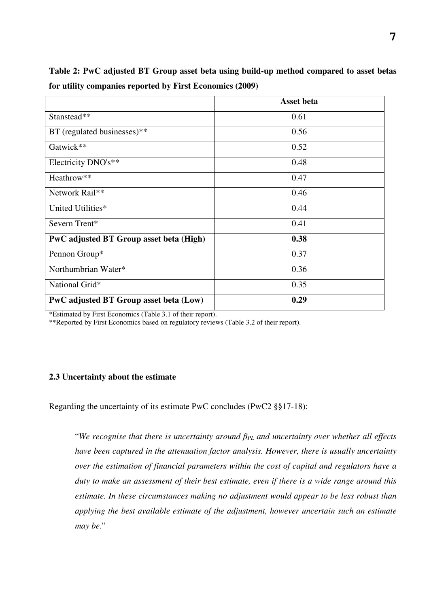|                                         | <b>Asset beta</b> |
|-----------------------------------------|-------------------|
| Stanstead**                             | 0.61              |
| BT (regulated businesses)**             | 0.56              |
| Gatwick**                               | 0.52              |
| Electricity DNO's**                     | 0.48              |
| Heathrow**                              | 0.47              |
| Network Rail**                          | 0.46              |
| United Utilities*                       | 0.44              |
| Severn Trent*                           | 0.41              |
| PwC adjusted BT Group asset beta (High) | 0.38              |
| Pennon Group*                           | 0.37              |
| Northumbrian Water*                     | 0.36              |
| National Grid*                          | 0.35              |
| PwC adjusted BT Group asset beta (Low)  | 0.29              |

**Table 2: PwC adjusted BT Group asset beta using build-up method compared to asset betas for utility companies reported by First Economics (2009)** 

\*Estimated by First Economics (Table 3.1 of their report).

\*\*Reported by First Economics based on regulatory reviews (Table 3.2 of their report).

# **2.3 Uncertainty about the estimate**

Regarding the uncertainty of its estimate PwC concludes (PwC2 §§17-18):

"*We recognise that there is uncertainty around* β*PL and uncertainty over whether all effects have been captured in the attenuation factor analysis. However, there is usually uncertainty over the estimation of financial parameters within the cost of capital and regulators have a duty to make an assessment of their best estimate, even if there is a wide range around this estimate. In these circumstances making no adjustment would appear to be less robust than applying the best available estimate of the adjustment, however uncertain such an estimate may be.*"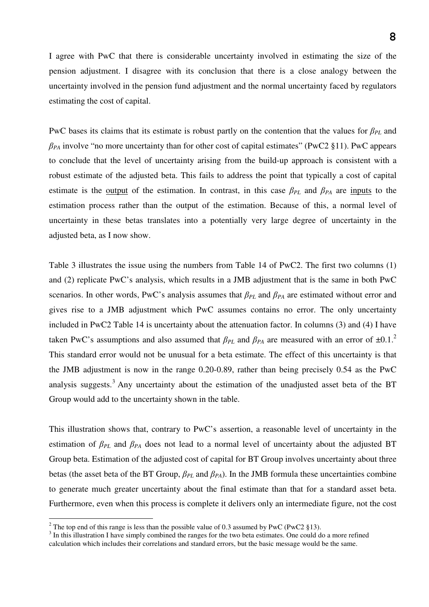I agree with PwC that there is considerable uncertainty involved in estimating the size of the pension adjustment. I disagree with its conclusion that there is a close analogy between the uncertainty involved in the pension fund adjustment and the normal uncertainty faced by regulators estimating the cost of capital.

PwC bases its claims that its estimate is robust partly on the contention that the values for  $\beta_{PL}$  and  $\beta_{PA}$  involve "no more uncertainty than for other cost of capital estimates" (PwC2 §11). PwC appears to conclude that the level of uncertainty arising from the build-up approach is consistent with a robust estimate of the adjusted beta. This fails to address the point that typically a cost of capital estimate is the <u>output</u> of the estimation. In contrast, in this case  $\beta_{PL}$  and  $\beta_{PA}$  are inputs to the estimation process rather than the output of the estimation. Because of this, a normal level of uncertainty in these betas translates into a potentially very large degree of uncertainty in the adjusted beta, as I now show.

Table 3 illustrates the issue using the numbers from Table 14 of PwC2. The first two columns (1) and (2) replicate PwC's analysis, which results in a JMB adjustment that is the same in both PwC scenarios. In other words, PwC's analysis assumes that  $\beta_{PL}$  and  $\beta_{PA}$  are estimated without error and gives rise to a JMB adjustment which PwC assumes contains no error. The only uncertainty included in PwC2 Table 14 is uncertainty about the attenuation factor. In columns (3) and (4) I have taken PwC's assumptions and also assumed that  $\beta_{PL}$  and  $\beta_{PA}$  are measured with an error of  $\pm 0.1$ .<sup>2</sup> This standard error would not be unusual for a beta estimate. The effect of this uncertainty is that the JMB adjustment is now in the range 0.20-0.89, rather than being precisely 0.54 as the PwC analysis suggests.<sup>3</sup> Any uncertainty about the estimation of the unadjusted asset beta of the BT Group would add to the uncertainty shown in the table.

This illustration shows that, contrary to PwC's assertion, a reasonable level of uncertainty in the estimation of β*PL* and β*PA* does not lead to a normal level of uncertainty about the adjusted BT Group beta. Estimation of the adjusted cost of capital for BT Group involves uncertainty about three betas (the asset beta of the BT Group,  $\beta_{PL}$  and  $\beta_{PA}$ ). In the JMB formula these uncertainties combine to generate much greater uncertainty about the final estimate than that for a standard asset beta. Furthermore, even when this process is complete it delivers only an intermediate figure, not the cost

<sup>&</sup>lt;sup>2</sup> The top end of this range is less than the possible value of 0.3 assumed by PwC (PwC2 §13).

 $3$  In this illustration I have simply combined the ranges for the two beta estimates. One could do a more refined calculation which includes their correlations and standard errors, but the basic message would be the same.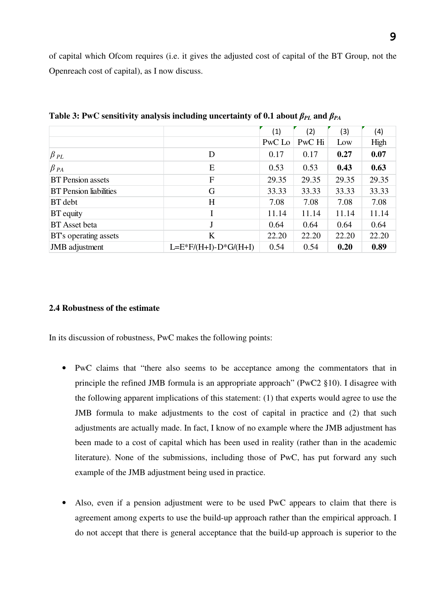of capital which Ofcom requires (i.e. it gives the adjusted cost of capital of the BT Group, not the Openreach cost of capital), as I now discuss.

|                               |                         | (1)    | (2)    | (3)   | (4)   |
|-------------------------------|-------------------------|--------|--------|-------|-------|
|                               |                         | PwC Lo | PwC Hi | Low   | High  |
| $\beta$ pl                    | D                       | 0.17   | 0.17   | 0.27  | 0.07  |
| $\beta$ pa                    | E                       | 0.53   | 0.53   | 0.43  | 0.63  |
| <b>BT</b> Pension assets      | F                       | 29.35  | 29.35  | 29.35 | 29.35 |
| <b>BT</b> Pension liabilities | G                       | 33.33  | 33.33  | 33.33 | 33.33 |
| <b>BT</b> debt                | H                       | 7.08   | 7.08   | 7.08  | 7.08  |
| <b>BT</b> equity              |                         | 11.14  | 11.14  | 11.14 | 11.14 |
| <b>BT</b> Asset beta          | $\mathbf{J}$            | 0.64   | 0.64   | 0.64  | 0.64  |
| <b>BT</b> 's operating assets | K                       | 22.20  | 22.20  | 22.20 | 22.20 |
| JMB adjustment                | $L=E*F/(H+I)-D*G/(H+I)$ | 0.54   | 0.54   | 0.20  | 0.89  |

**Table 3: PwC sensitivity analysis including uncertainty of 0.1 about**  $\beta_{PL}$  **and**  $\beta_{PA}$ 

# **2.4 Robustness of the estimate**

In its discussion of robustness, PwC makes the following points:

- PwC claims that "there also seems to be acceptance among the commentators that in principle the refined JMB formula is an appropriate approach" (PwC2 §10). I disagree with the following apparent implications of this statement: (1) that experts would agree to use the JMB formula to make adjustments to the cost of capital in practice and (2) that such adjustments are actually made. In fact, I know of no example where the JMB adjustment has been made to a cost of capital which has been used in reality (rather than in the academic literature). None of the submissions, including those of PwC, has put forward any such example of the JMB adjustment being used in practice.
- Also, even if a pension adjustment were to be used PwC appears to claim that there is agreement among experts to use the build-up approach rather than the empirical approach. I do not accept that there is general acceptance that the build-up approach is superior to the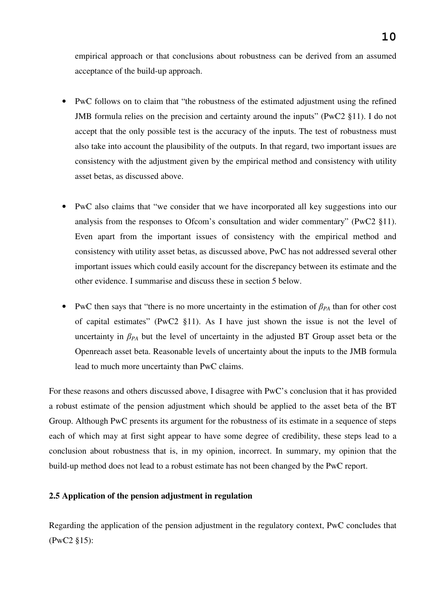empirical approach or that conclusions about robustness can be derived from an assumed acceptance of the build-up approach.

- PwC follows on to claim that "the robustness of the estimated adjustment using the refined JMB formula relies on the precision and certainty around the inputs" (PwC2 §11). I do not accept that the only possible test is the accuracy of the inputs. The test of robustness must also take into account the plausibility of the outputs. In that regard, two important issues are consistency with the adjustment given by the empirical method and consistency with utility asset betas, as discussed above.
- PwC also claims that "we consider that we have incorporated all key suggestions into our analysis from the responses to Ofcom's consultation and wider commentary" (PwC2 §11). Even apart from the important issues of consistency with the empirical method and consistency with utility asset betas, as discussed above, PwC has not addressed several other important issues which could easily account for the discrepancy between its estimate and the other evidence. I summarise and discuss these in section 5 below.
- PwC then says that "there is no more uncertainty in the estimation of  $\beta_{PA}$  than for other cost of capital estimates" (PwC2 §11). As I have just shown the issue is not the level of uncertainty in  $\beta_{PA}$  but the level of uncertainty in the adjusted BT Group asset beta or the Openreach asset beta. Reasonable levels of uncertainty about the inputs to the JMB formula lead to much more uncertainty than PwC claims.

For these reasons and others discussed above, I disagree with PwC's conclusion that it has provided a robust estimate of the pension adjustment which should be applied to the asset beta of the BT Group. Although PwC presents its argument for the robustness of its estimate in a sequence of steps each of which may at first sight appear to have some degree of credibility, these steps lead to a conclusion about robustness that is, in my opinion, incorrect. In summary, my opinion that the build-up method does not lead to a robust estimate has not been changed by the PwC report.

#### **2.5 Application of the pension adjustment in regulation**

Regarding the application of the pension adjustment in the regulatory context, PwC concludes that (PwC2 §15):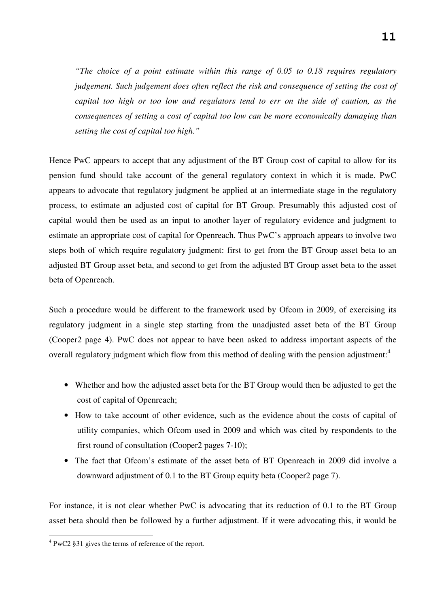*"The choice of a point estimate within this range of 0.05 to 0.18 requires regulatory judgement. Such judgement does often reflect the risk and consequence of setting the cost of capital too high or too low and regulators tend to err on the side of caution, as the consequences of setting a cost of capital too low can be more economically damaging than setting the cost of capital too high."* 

Hence PwC appears to accept that any adjustment of the BT Group cost of capital to allow for its pension fund should take account of the general regulatory context in which it is made. PwC appears to advocate that regulatory judgment be applied at an intermediate stage in the regulatory process, to estimate an adjusted cost of capital for BT Group. Presumably this adjusted cost of capital would then be used as an input to another layer of regulatory evidence and judgment to estimate an appropriate cost of capital for Openreach. Thus PwC's approach appears to involve two steps both of which require regulatory judgment: first to get from the BT Group asset beta to an adjusted BT Group asset beta, and second to get from the adjusted BT Group asset beta to the asset beta of Openreach.

Such a procedure would be different to the framework used by Ofcom in 2009, of exercising its regulatory judgment in a single step starting from the unadjusted asset beta of the BT Group (Cooper2 page 4). PwC does not appear to have been asked to address important aspects of the overall regulatory judgment which flow from this method of dealing with the pension adjustment:<sup>4</sup>

- Whether and how the adjusted asset beta for the BT Group would then be adjusted to get the cost of capital of Openreach;
- How to take account of other evidence, such as the evidence about the costs of capital of utility companies, which Ofcom used in 2009 and which was cited by respondents to the first round of consultation (Cooper2 pages 7-10);
- The fact that Ofcom's estimate of the asset beta of BT Openreach in 2009 did involve a downward adjustment of 0.1 to the BT Group equity beta (Cooper2 page 7).

For instance, it is not clear whether PwC is advocating that its reduction of 0.1 to the BT Group asset beta should then be followed by a further adjustment. If it were advocating this, it would be

 $\overline{a}$ 

<sup>&</sup>lt;sup>4</sup> PwC2 §31 gives the terms of reference of the report.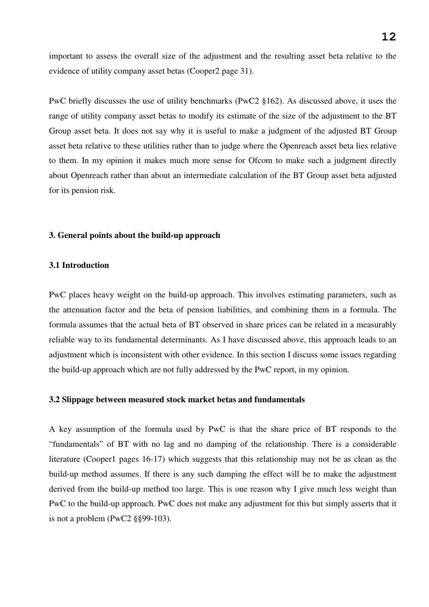important to assess the overall size of the adjustment and the resulting asset beta relative to the evidence of utility company asset betas (Cooper2 page 31).

PwC briefly discusses the use of utility benchmarks (PwC2 §162). As discussed above, it uses the range of utility company asset betas to modify its estimate of the size of the adjustment to the BT Group asset beta. It does not say why it is useful to make a judgment of the adjusted BT Group asset beta relative to these utilities rather than to judge where the Openreach asset beta lies relative to them. In my opinion it makes much more sense for Ofcom to make such a judgment directly about Openreach rather than about an intermediate calculation of the BT Group asset beta adjusted for its pension risk.

## **3. General points about the build-up approach**

## **3.1 Introduction**

PwC places heavy weight on the build-up approach. This involves estimating parameters, such as the attenuation factor and the beta of pension liabilities, and combining them in a formula. The formula assumes that the actual beta of BT observed in share prices can be related in a measurably reliable way to its fundamental determinants. As I have discussed above, this approach leads to an adjustment which is inconsistent with other evidence. In this section I discuss some issues regarding the build-up approach which are not fully addressed by the PwC report, in my opinion.

#### **3.2 Slippage between measured stock market betas and fundamentals**

A key assumption of the formula used by PwC is that the share price of BT responds to the "fundamentals" of BT with no lag and no damping of the relationship. There is a considerable literature (Cooper1 pages 16-17) which suggests that this relationship may not be as clean as the build-up method assumes. If there is any such damping the effect will be to make the adjustment derived from the build-up method too large. This is one reason why I give much less weight than PwC to the build-up approach. PwC does not make any adjustment for this but simply asserts that it is not a problem (PwC2 §§99-103).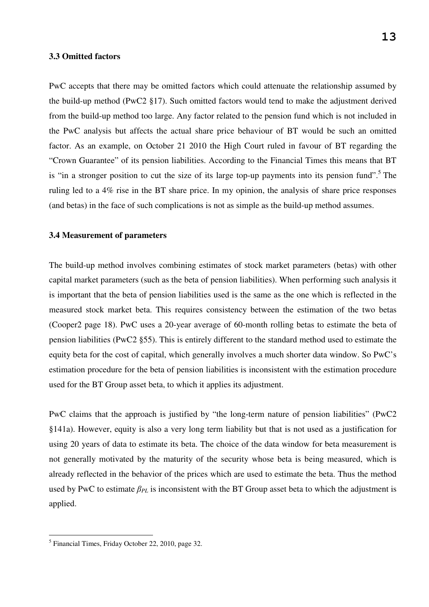#### **3.3 Omitted factors**

PwC accepts that there may be omitted factors which could attenuate the relationship assumed by the build-up method (PwC2 §17). Such omitted factors would tend to make the adjustment derived from the build-up method too large. Any factor related to the pension fund which is not included in the PwC analysis but affects the actual share price behaviour of BT would be such an omitted factor. As an example, on October 21 2010 the High Court ruled in favour of BT regarding the "Crown Guarantee" of its pension liabilities. According to the Financial Times this means that BT is "in a stronger position to cut the size of its large top-up payments into its pension fund".<sup>5</sup> The ruling led to a 4% rise in the BT share price. In my opinion, the analysis of share price responses (and betas) in the face of such complications is not as simple as the build-up method assumes.

# **3.4 Measurement of parameters**

The build-up method involves combining estimates of stock market parameters (betas) with other capital market parameters (such as the beta of pension liabilities). When performing such analysis it is important that the beta of pension liabilities used is the same as the one which is reflected in the measured stock market beta. This requires consistency between the estimation of the two betas (Cooper2 page 18). PwC uses a 20-year average of 60-month rolling betas to estimate the beta of pension liabilities (PwC2 §55). This is entirely different to the standard method used to estimate the equity beta for the cost of capital, which generally involves a much shorter data window. So PwC's estimation procedure for the beta of pension liabilities is inconsistent with the estimation procedure used for the BT Group asset beta, to which it applies its adjustment.

PwC claims that the approach is justified by "the long-term nature of pension liabilities" (PwC2 §141a). However, equity is also a very long term liability but that is not used as a justification for using 20 years of data to estimate its beta. The choice of the data window for beta measurement is not generally motivated by the maturity of the security whose beta is being measured, which is already reflected in the behavior of the prices which are used to estimate the beta. Thus the method used by PwC to estimate  $\beta_{PL}$  is inconsistent with the BT Group asset beta to which the adjustment is applied.

 5 Financial Times, Friday October 22, 2010, page 32.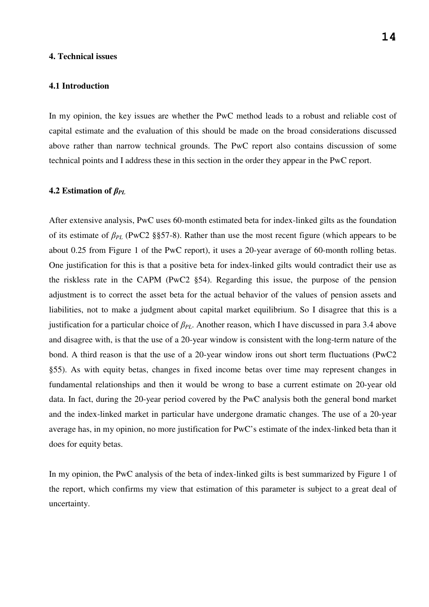#### **4. Technical issues**

#### **4.1 Introduction**

In my opinion, the key issues are whether the PwC method leads to a robust and reliable cost of capital estimate and the evaluation of this should be made on the broad considerations discussed above rather than narrow technical grounds. The PwC report also contains discussion of some technical points and I address these in this section in the order they appear in the PwC report.

#### **4.2 Estimation of** β*PL*

After extensive analysis, PwC uses 60-month estimated beta for index-linked gilts as the foundation of its estimate of β*PL* (PwC2 §§57-8). Rather than use the most recent figure (which appears to be about 0.25 from Figure 1 of the PwC report), it uses a 20-year average of 60-month rolling betas. One justification for this is that a positive beta for index-linked gilts would contradict their use as the riskless rate in the CAPM (PwC2 §54). Regarding this issue, the purpose of the pension adjustment is to correct the asset beta for the actual behavior of the values of pension assets and liabilities, not to make a judgment about capital market equilibrium. So I disagree that this is a justification for a particular choice of β*PL*. Another reason, which I have discussed in para 3.4 above and disagree with, is that the use of a 20-year window is consistent with the long-term nature of the bond. A third reason is that the use of a 20-year window irons out short term fluctuations (PwC2 §55). As with equity betas, changes in fixed income betas over time may represent changes in fundamental relationships and then it would be wrong to base a current estimate on 20-year old data. In fact, during the 20-year period covered by the PwC analysis both the general bond market and the index-linked market in particular have undergone dramatic changes. The use of a 20-year average has, in my opinion, no more justification for PwC's estimate of the index-linked beta than it does for equity betas.

In my opinion, the PwC analysis of the beta of index-linked gilts is best summarized by Figure 1 of the report, which confirms my view that estimation of this parameter is subject to a great deal of uncertainty.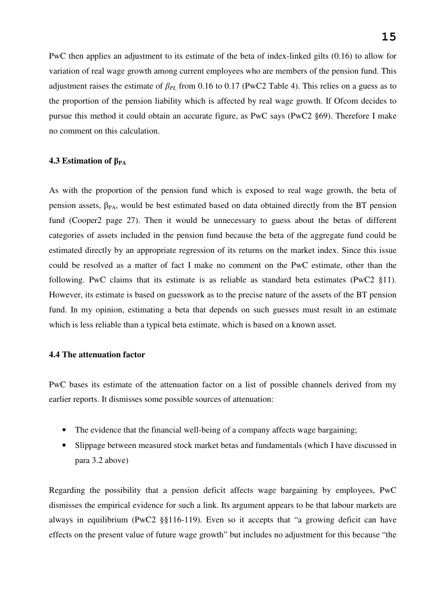PwC then applies an adjustment to its estimate of the beta of index-linked gilts (0.16) to allow for variation of real wage growth among current employees who are members of the pension fund. This adjustment raises the estimate of β*PL* from 0.16 to 0.17 (PwC2 Table 4). This relies on a guess as to the proportion of the pension liability which is affected by real wage growth. If Ofcom decides to pursue this method it could obtain an accurate figure, as PwC says (PwC2 §69). Therefore I make no comment on this calculation.

# **4.3 Estimation of** β**PA**

As with the proportion of the pension fund which is exposed to real wage growth, the beta of pension assets,  $\beta_{PA}$ , would be best estimated based on data obtained directly from the BT pension fund (Cooper2 page 27). Then it would be unnecessary to guess about the betas of different categories of assets included in the pension fund because the beta of the aggregate fund could be estimated directly by an appropriate regression of its returns on the market index. Since this issue could be resolved as a matter of fact I make no comment on the PwC estimate, other than the following. PwC claims that its estimate is as reliable as standard beta estimates (PwC2 §11). However, its estimate is based on guesswork as to the precise nature of the assets of the BT pension fund. In my opinion, estimating a beta that depends on such guesses must result in an estimate which is less reliable than a typical beta estimate, which is based on a known asset.

# **4.4 The attenuation factor**

PwC bases its estimate of the attenuation factor on a list of possible channels derived from my earlier reports. It dismisses some possible sources of attenuation:

- The evidence that the financial well-being of a company affects wage bargaining;
- Slippage between measured stock market betas and fundamentals (which I have discussed in para 3.2 above)

Regarding the possibility that a pension deficit affects wage bargaining by employees, PwC dismisses the empirical evidence for such a link. Its argument appears to be that labour markets are always in equilibrium (PwC2 §§116-119). Even so it accepts that "a growing deficit can have effects on the present value of future wage growth" but includes no adjustment for this because "the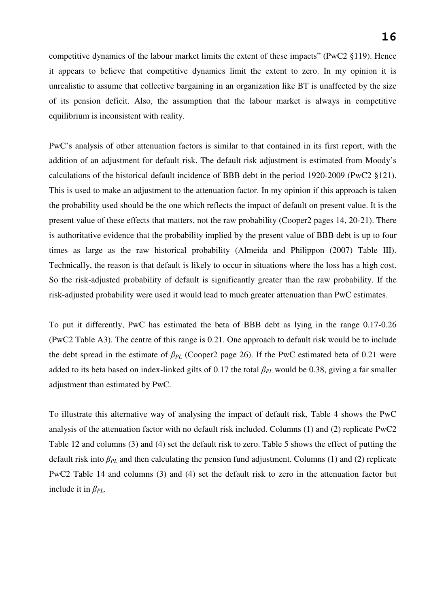competitive dynamics of the labour market limits the extent of these impacts" (PwC2 §119). Hence it appears to believe that competitive dynamics limit the extent to zero. In my opinion it is unrealistic to assume that collective bargaining in an organization like BT is unaffected by the size of its pension deficit. Also, the assumption that the labour market is always in competitive equilibrium is inconsistent with reality.

PwC's analysis of other attenuation factors is similar to that contained in its first report, with the addition of an adjustment for default risk. The default risk adjustment is estimated from Moody's calculations of the historical default incidence of BBB debt in the period 1920-2009 (PwC2 §121). This is used to make an adjustment to the attenuation factor. In my opinion if this approach is taken the probability used should be the one which reflects the impact of default on present value. It is the present value of these effects that matters, not the raw probability (Cooper2 pages 14, 20-21). There is authoritative evidence that the probability implied by the present value of BBB debt is up to four times as large as the raw historical probability (Almeida and Philippon (2007) Table III). Technically, the reason is that default is likely to occur in situations where the loss has a high cost. So the risk-adjusted probability of default is significantly greater than the raw probability. If the risk-adjusted probability were used it would lead to much greater attenuation than PwC estimates.

To put it differently, PwC has estimated the beta of BBB debt as lying in the range 0.17-0.26 (PwC2 Table A3). The centre of this range is 0.21. One approach to default risk would be to include the debt spread in the estimate of  $\beta_{PL}$  (Cooper2 page 26). If the PwC estimated beta of 0.21 were added to its beta based on index-linked gilts of 0.17 the total  $\beta_{PL}$  would be 0.38, giving a far smaller adjustment than estimated by PwC.

To illustrate this alternative way of analysing the impact of default risk, Table 4 shows the PwC analysis of the attenuation factor with no default risk included. Columns (1) and (2) replicate PwC2 Table 12 and columns (3) and (4) set the default risk to zero. Table 5 shows the effect of putting the default risk into β*PL* and then calculating the pension fund adjustment. Columns (1) and (2) replicate PwC2 Table 14 and columns (3) and (4) set the default risk to zero in the attenuation factor but include it in  $\beta_{PL}$ .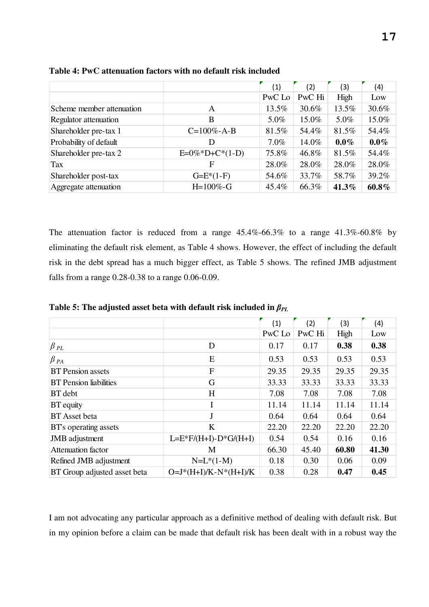|                           |                   | (1)     | (2)    | (3)     | (4)     |
|---------------------------|-------------------|---------|--------|---------|---------|
|                           |                   | PwC Lo  | PwC Hi | High    | Low     |
| Scheme member attenuation | A                 | 13.5%   | 30.6%  | 13.5%   | 30.6%   |
| Regulator attenuation     | B                 | 5.0%    | 15.0%  | 5.0%    | 15.0%   |
| Shareholder pre-tax 1     | $C=100\% - A-B$   | 81.5%   | 54.4%  | 81.5%   | 54.4%   |
| Probability of default    | D                 | $7.0\%$ | 14.0%  | $0.0\%$ | $0.0\%$ |
| Shareholder pre-tax 2     | $E=0\%*D+C*(1-D)$ | 75.8%   | 46.8%  | 81.5%   | 54.4%   |
| Tax                       | F                 | 28.0%   | 28.0%  | 28.0%   | 28.0%   |
| Shareholder post-tax      | $G=E*(1-F)$       | 54.6%   | 33.7%  | 58.7%   | 39.2%   |
| Aggregate attenuation     | $H=100\%$ -G      | 45.4%   | 66.3%  | 41.3%   | 60.8%   |

**Table 4: PwC attenuation factors with no default risk included** 

The attenuation factor is reduced from a range 45.4%-66.3% to a range 41.3%-60.8% by eliminating the default risk element, as Table 4 shows. However, the effect of including the default risk in the debt spread has a much bigger effect, as Table 5 shows. The refined JMB adjustment falls from a range 0.28-0.38 to a range 0.06-0.09.

| Table 5: The adjusted asset beta with default risk included in $\beta_{PL}$ |  |  |  |  |  |
|-----------------------------------------------------------------------------|--|--|--|--|--|
|-----------------------------------------------------------------------------|--|--|--|--|--|

|                               |                           | (1)    | (2)    | (3)   | (4)   |
|-------------------------------|---------------------------|--------|--------|-------|-------|
|                               |                           | PwC Lo | PwC Hi | High  | Low   |
| $\beta$ pl                    | D                         | 0.17   | 0.17   | 0.38  | 0.38  |
| $\beta$ $_{PA}$               | E                         | 0.53   | 0.53   | 0.53  | 0.53  |
| <b>BT</b> Pension assets      | F                         | 29.35  | 29.35  | 29.35 | 29.35 |
| <b>BT</b> Pension liabilities | G                         | 33.33  | 33.33  | 33.33 | 33.33 |
| BT debt                       | H                         | 7.08   | 7.08   | 7.08  | 7.08  |
| BT equity                     | I                         | 11.14  | 11.14  | 11.14 | 11.14 |
| <b>BT</b> Asset beta          | $\mathbf{J}$              | 0.64   | 0.64   | 0.64  | 0.64  |
| BT's operating assets         | K                         | 22.20  | 22.20  | 22.20 | 22.20 |
| <b>JMB</b> adjustment         | $L=E*F/(H+I)-D*G/(H+I)$   | 0.54   | 0.54   | 0.16  | 0.16  |
| Attenuation factor            | М                         | 66.30  | 45.40  | 60.80 | 41.30 |
| Refined JMB adjustment        | $N=L*(1-M)$               | 0.18   | 0.30   | 0.06  | 0.09  |
| BT Group adjusted asset beta  | $O=J^*(H+I)/K-N^*(H+I)/K$ | 0.38   | 0.28   | 0.47  | 0.45  |

I am not advocating any particular approach as a definitive method of dealing with default risk. But in my opinion before a claim can be made that default risk has been dealt with in a robust way the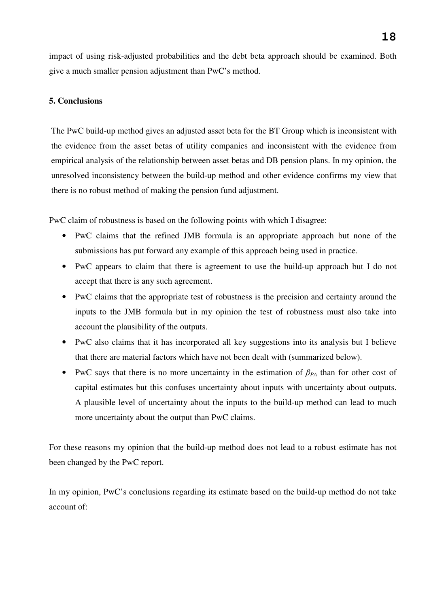impact of using risk-adjusted probabilities and the debt beta approach should be examined. Both give a much smaller pension adjustment than PwC's method.

# **5. Conclusions**

The PwC build-up method gives an adjusted asset beta for the BT Group which is inconsistent with the evidence from the asset betas of utility companies and inconsistent with the evidence from empirical analysis of the relationship between asset betas and DB pension plans. In my opinion, the unresolved inconsistency between the build-up method and other evidence confirms my view that there is no robust method of making the pension fund adjustment.

PwC claim of robustness is based on the following points with which I disagree:

- PwC claims that the refined JMB formula is an appropriate approach but none of the submissions has put forward any example of this approach being used in practice.
- PwC appears to claim that there is agreement to use the build-up approach but I do not accept that there is any such agreement.
- PwC claims that the appropriate test of robustness is the precision and certainty around the inputs to the JMB formula but in my opinion the test of robustness must also take into account the plausibility of the outputs.
- PwC also claims that it has incorporated all key suggestions into its analysis but I believe that there are material factors which have not been dealt with (summarized below).
- PwC says that there is no more uncertainty in the estimation of β*PA* than for other cost of capital estimates but this confuses uncertainty about inputs with uncertainty about outputs. A plausible level of uncertainty about the inputs to the build-up method can lead to much more uncertainty about the output than PwC claims.

For these reasons my opinion that the build-up method does not lead to a robust estimate has not been changed by the PwC report.

In my opinion, PwC's conclusions regarding its estimate based on the build-up method do not take account of: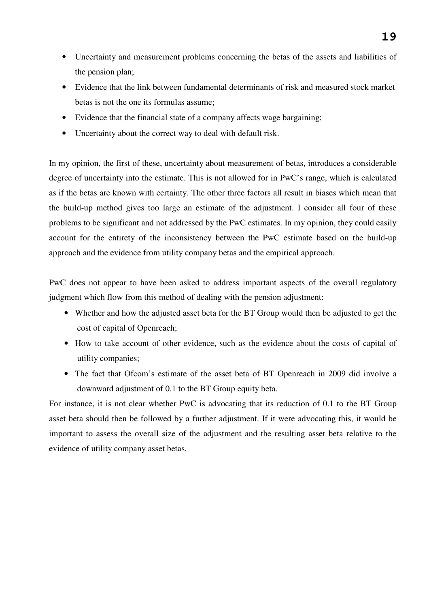- Uncertainty and measurement problems concerning the betas of the assets and liabilities of the pension plan;
- Evidence that the link between fundamental determinants of risk and measured stock market betas is not the one its formulas assume;
- Evidence that the financial state of a company affects wage bargaining;
- Uncertainty about the correct way to deal with default risk.

In my opinion, the first of these, uncertainty about measurement of betas, introduces a considerable degree of uncertainty into the estimate. This is not allowed for in PwC's range, which is calculated as if the betas are known with certainty. The other three factors all result in biases which mean that the build-up method gives too large an estimate of the adjustment. I consider all four of these problems to be significant and not addressed by the PwC estimates. In my opinion, they could easily account for the entirety of the inconsistency between the PwC estimate based on the build-up approach and the evidence from utility company betas and the empirical approach.

PwC does not appear to have been asked to address important aspects of the overall regulatory judgment which flow from this method of dealing with the pension adjustment:

- Whether and how the adjusted asset beta for the BT Group would then be adjusted to get the cost of capital of Openreach;
- How to take account of other evidence, such as the evidence about the costs of capital of utility companies;
- The fact that Ofcom's estimate of the asset beta of BT Openreach in 2009 did involve a downward adjustment of 0.1 to the BT Group equity beta.

For instance, it is not clear whether PwC is advocating that its reduction of 0.1 to the BT Group asset beta should then be followed by a further adjustment. If it were advocating this, it would be important to assess the overall size of the adjustment and the resulting asset beta relative to the evidence of utility company asset betas.